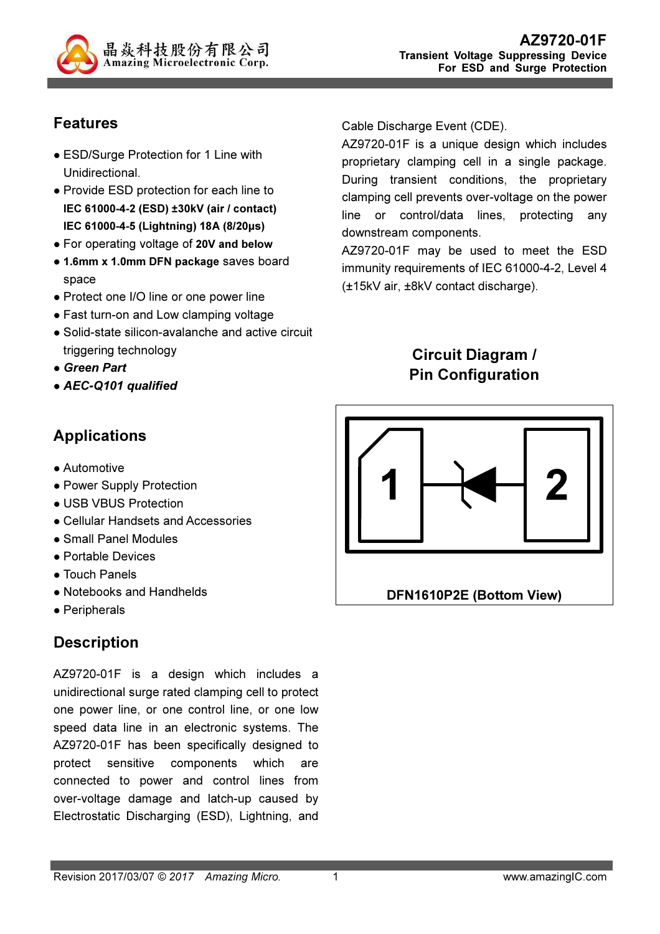

# Features

- ESD/Surge Protection for 1 Line with Unidirectional.
- Provide ESD protection for each line to IEC 61000-4-2 (ESD) ±30kV (air / contact) IEC 61000-4-5 (Lightning) 18A (8/20µs)
- For operating voltage of 20V and below
- 1.6mm x 1.0mm DFN package saves board space
- Protect one I/O line or one power line
- Fast turn-on and Low clamping voltage
- Solid-state silicon-avalanche and active circuit triggering technology
- Green Part
- AEC-Q101 qualified

## Applications

- Automotive
- Power Supply Protection
- USB VBUS Protection
- Cellular Handsets and Accessories
- Small Panel Modules
- Portable Devices
- Touch Panels
- Notebooks and Handhelds
- Peripherals

## **Description**

AZ9720-01F is a design which includes a unidirectional surge rated clamping cell to protect one power line, or one control line, or one low speed data line in an electronic systems. The AZ9720-01F has been specifically designed to protect sensitive components which are connected to power and control lines from over-voltage damage and latch-up caused by Electrostatic Discharging (ESD), Lightning, and

Cable Discharge Event (CDE).

AZ9720-01F is a unique design which includes proprietary clamping cell in a single package. During transient conditions, the proprietary clamping cell prevents over-voltage on the power line or control/data lines, protecting any downstream components.

AZ9720-01F may be used to meet the ESD immunity requirements of IEC 61000-4-2, Level 4 (±15kV air, ±8kV contact discharge).

# Circuit Diagram / Pin Configuration

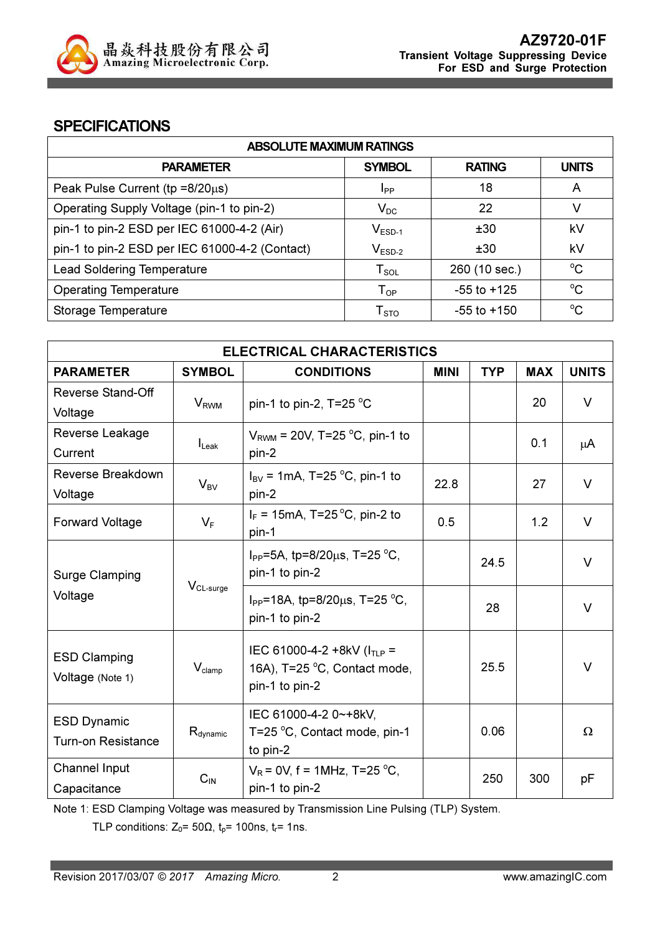

#### **SPECIFICATIONS**

| <b>ABSOLUTE MAXIMUM RATINGS</b>                |                            |                 |              |  |
|------------------------------------------------|----------------------------|-----------------|--------------|--|
| <b>PARAMETER</b>                               | <b>SYMBOL</b>              | <b>RATING</b>   | <b>UNITS</b> |  |
| Peak Pulse Current ( $tp = 8/20\mu s$ )        | <b>I</b> pp                | 18              | A            |  |
| Operating Supply Voltage (pin-1 to pin-2)      | $V_{DC}$                   | 22              | V            |  |
| pin-1 to pin-2 ESD per IEC 61000-4-2 (Air)     | $V_{ESD-1}$                | ±30             | kV           |  |
| pin-1 to pin-2 ESD per IEC 61000-4-2 (Contact) | $V_{ESD-2}$                | ±30             | kV           |  |
| <b>Lead Soldering Temperature</b>              | $T_{SOL}$                  | 260 (10 sec.)   | $^{\circ}C$  |  |
| <b>Operating Temperature</b>                   | $\mathsf{T}_{\mathsf{OP}}$ | $-55$ to $+125$ | $^{\circ}C$  |  |
| Storage Temperature                            | ${\sf T}_{\text{STO}}$     | -55 to +150     | $^{\circ}C$  |  |

| <b>ELECTRICAL CHARACTERISTICS</b>                 |                        |                                                                  |             |            |            |              |
|---------------------------------------------------|------------------------|------------------------------------------------------------------|-------------|------------|------------|--------------|
| <b>PARAMETER</b>                                  | <b>SYMBOL</b>          | <b>CONDITIONS</b>                                                | <b>MINI</b> | <b>TYP</b> | <b>MAX</b> | <b>UNITS</b> |
| Reverse Stand-Off                                 |                        |                                                                  |             |            | 20         | $\vee$       |
| Voltage                                           | <b>V<sub>RWM</sub></b> | pin-1 to pin-2, $T=25 \degree C$                                 |             |            |            |              |
| Reverse Leakage                                   |                        | $V_{\text{RWM}}$ = 20V, T=25 °C, pin-1 to                        |             |            | 0.1        |              |
| Current                                           | $I_{\text{Leak}}$      | pin-2                                                            |             |            |            | μA           |
| Reverse Breakdown                                 |                        | $I_{\text{BV}}$ = 1mA, T=25 °C, pin-1 to                         | 22.8        |            | 27         | $\vee$       |
| Voltage                                           | $V_{BV}$               | pin-2                                                            |             |            |            |              |
| <b>Forward Voltage</b>                            | $V_F$                  | $I_F$ = 15mA, T=25 °C, pin-2 to                                  | 0.5         |            | 1.2        | V            |
|                                                   |                        | pin-1                                                            |             |            |            |              |
|                                                   |                        | I <sub>PP</sub> =5A, tp=8/20 $\mu$ s, T=25 °C,                   |             | 24.5       |            | $\vee$       |
| <b>Surge Clamping</b>                             | $V_{CL-surge}$         | pin-1 to pin-2                                                   |             |            |            |              |
| Voltage                                           |                        | I <sub>PP</sub> =18A, tp=8/20 $\mu$ s, T=25 °C,                  |             | 28         |            | $\vee$       |
|                                                   |                        | pin-1 to pin-2                                                   |             |            |            |              |
|                                                   |                        |                                                                  |             |            |            |              |
| <b>ESD Clamping</b>                               | $V_{\text{clamp}}$     | IEC 61000-4-2 +8kV ( $I_{TLP}$ =<br>16A), T=25 °C, Contact mode, |             | 25.5       |            | $\vee$       |
| Voltage (Note 1)                                  |                        | pin-1 to pin-2                                                   |             |            |            |              |
|                                                   |                        |                                                                  |             |            |            |              |
| <b>ESD Dynamic</b>                                |                        | IEC 61000-4-2 0~+8kV,                                            |             | 0.06       |            | $\Omega$     |
| $R_{\text{dynamic}}$<br><b>Turn-on Resistance</b> |                        | T=25 °C, Contact mode, pin-1<br>to pin-2                         |             |            |            |              |
| Channel Input                                     |                        | $V_R$ = 0V, f = 1MHz, T=25 °C,                                   |             |            |            |              |
| Capacitance                                       | $C_{IN}$               | pin-1 to pin-2                                                   |             | 250        | 300        | рF           |

Note 1: ESD Clamping Voltage was measured by Transmission Line Pulsing (TLP) System.

TLP conditions:  $Z_0$ = 50 $\Omega$ ,  $t_p$ = 100ns,  $t_r$ = 1ns.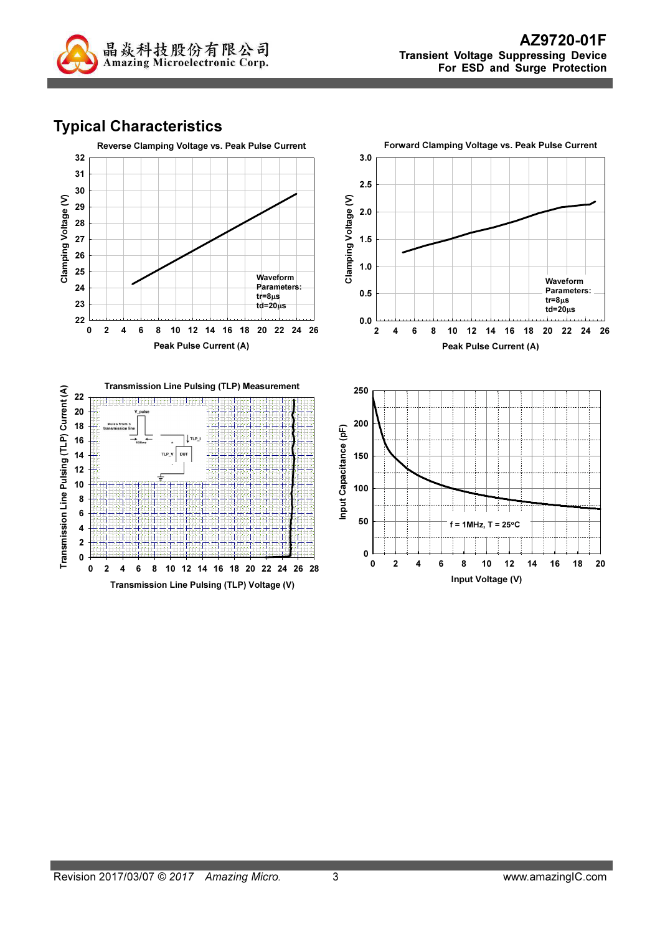

# Typical Characteristics

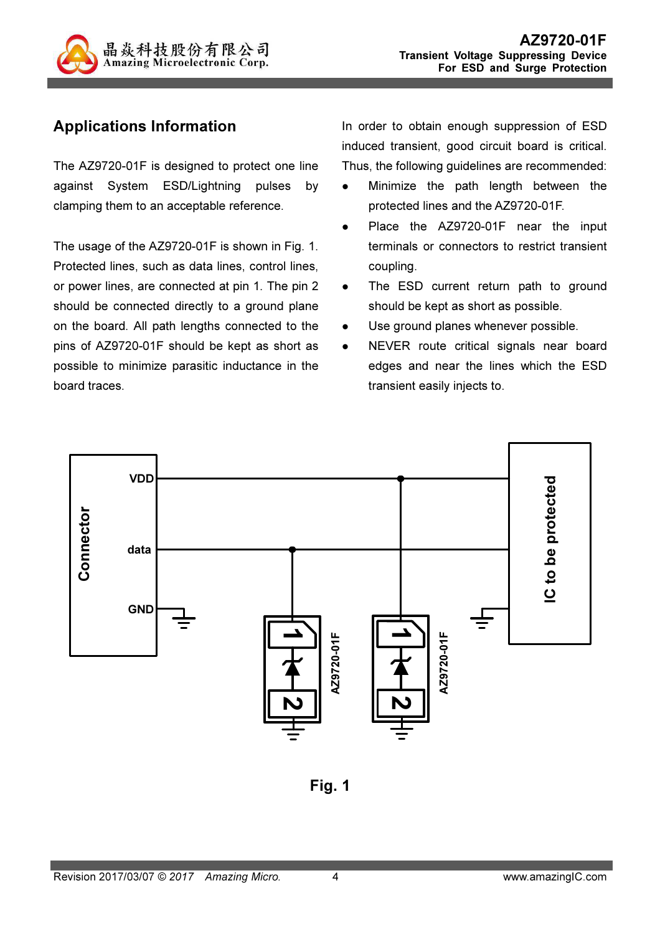

# Applications Information

The AZ9720-01F is designed to protect one line against System ESD/Lightning pulses by clamping them to an acceptable reference.

The usage of the AZ9720-01F is shown in Fig. 1. Protected lines, such as data lines, control lines, or power lines, are connected at pin 1. The pin 2 should be connected directly to a ground plane on the board. All path lengths connected to the pins of AZ9720-01F should be kept as short as possible to minimize parasitic inductance in the board traces.

In order to obtain enough suppression of ESD induced transient, good circuit board is critical. Thus, the following guidelines are recommended:

- Minimize the path length between the protected lines and the AZ9720-01F.
- Place the AZ9720-01F near the input terminals or connectors to restrict transient coupling.
- The ESD current return path to ground should be kept as short as possible.
- Use ground planes whenever possible.
- NEVER route critical signals near board edges and near the lines which the ESD transient easily injects to.



Fig. 1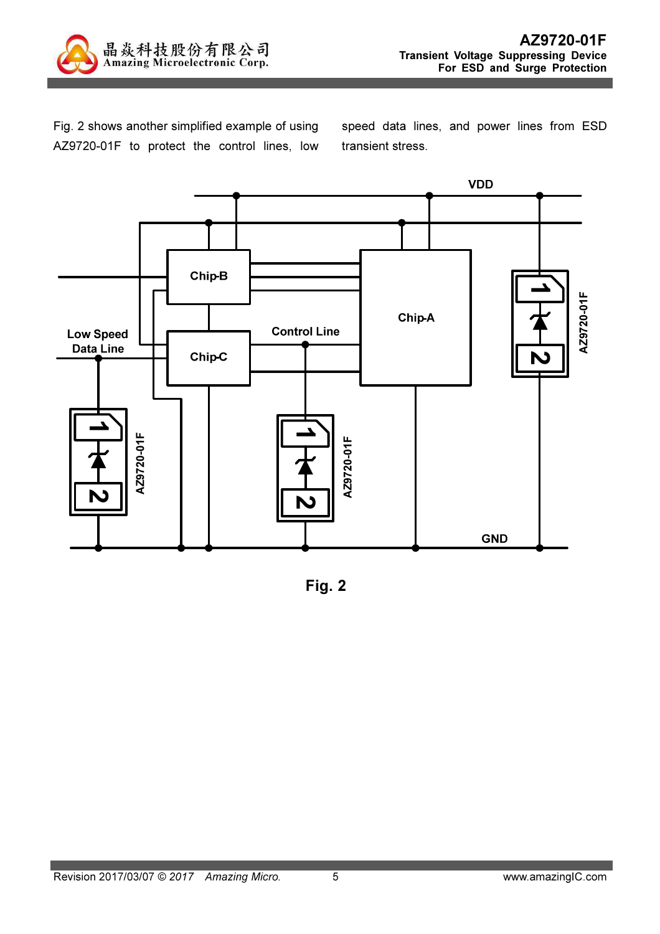

Fig. 2 shows another simplified example of using AZ9720-01F to protect the control lines, low speed data lines, and power lines from ESD transient stress.



Fig. 2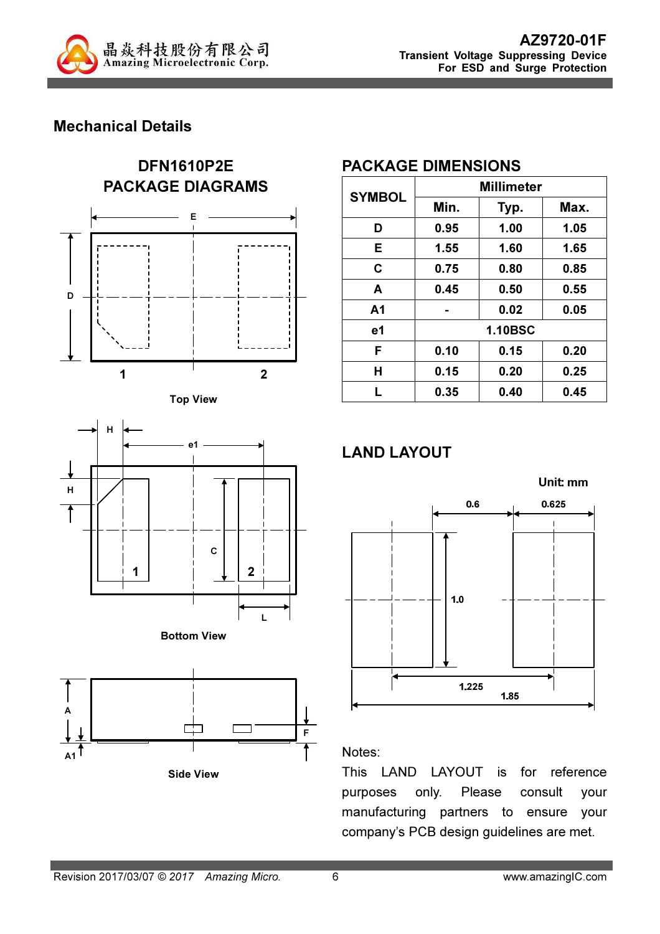

## Mechanical Details











#### PACKAGE DIMENSIONS

| <b>SYMBOL</b>  | <b>Millimeter</b> |                |      |  |
|----------------|-------------------|----------------|------|--|
|                | Min.              | Typ.           | Max. |  |
| D              | 0.95              | 1.00           | 1.05 |  |
| Е              | 1.55              | 1.60           | 1.65 |  |
| C              | 0.75              | 0.80           | 0.85 |  |
| A              | 0.45              | 0.50           | 0.55 |  |
| A <sub>1</sub> |                   | 0.02           | 0.05 |  |
| e1             |                   | <b>1.10BSC</b> |      |  |
| F              | 0.10              | 0.15           | 0.20 |  |
| Н              | 0.15              | 0.20           | 0.25 |  |
| L              | 0.35              | 0.40           | 0.45 |  |

# LAND LAYOUT



#### Notes:

This LAND LAYOUT is for reference purposes only. Please consult your manufacturing partners to ensure your company's PCB design guidelines are met.